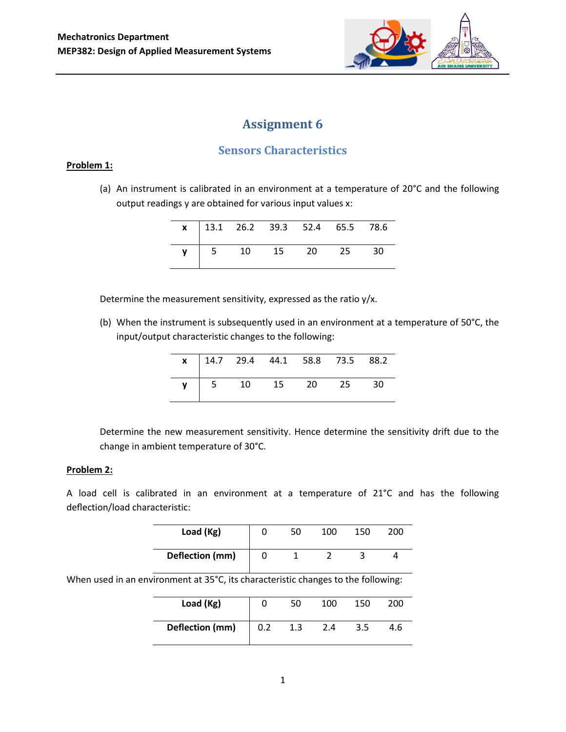

# **Assignment 6**

## **Sensors Characteristics**

#### **Problem 1:**

(a) An instrument is calibrated in an environment at a temperature of 20°C and the following output readings y are obtained for various input values x:

|  |  | $\mathbf{x}$   13.1 26.2 39.3 52.4 65.5 78.6 |  |  |
|--|--|----------------------------------------------|--|--|
|  |  | $\mathsf{y}$ 5 10 15 20 25 30                |  |  |

Determine the measurement sensitivity, expressed as the ratio y/x.

(b) When the instrument is subsequently used in an environment at a temperature of 50°C, the input/output characteristic changes to the following:

|      |  | $x$   14.7 29.4 44.1 58.8 73.5 88.2 |    |
|------|--|-------------------------------------|----|
| $-5$ |  | 10 15 20 25                         | 30 |

Determine the new measurement sensitivity. Hence determine the sensitivity drift due to the change in ambient temperature of 30°C.

#### **Problem 2:**

A load cell is calibrated in an environment at a temperature of 21°C and has the following deflection/load characteristic:

| Load (Kg)       | 50 | 100 | 150 | 200 |
|-----------------|----|-----|-----|-----|
| Deflection (mm) |    |     |     |     |

When used in an environment at 35°C, its characteristic changes to the following:

| Load (Kg)       |     | 50  | 100 | 150 | 200 |
|-----------------|-----|-----|-----|-----|-----|
| Deflection (mm) | 0.2 | 1.3 | 2.4 | 3.5 | 4.6 |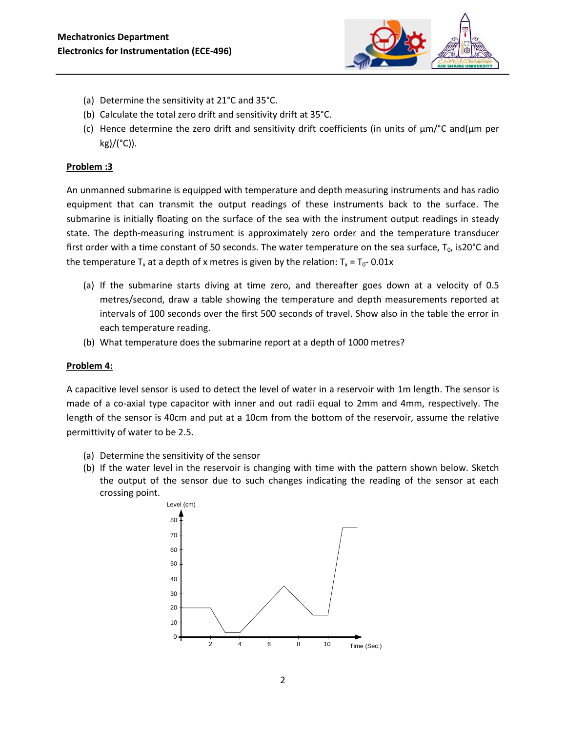

- (a) Determine the sensitivity at 21°C and 35°C.
- (b) Calculate the total zero drift and sensitivity drift at 35°C.
- (c) Hence determine the zero drift and sensitivity drift coefficients (in units of  $\mu$ m/°C and( $\mu$ m per  $kg)/(°C)$ ).

#### **Problem :3**

An unmanned submarine is equipped with temperature and depth measuring instruments and has radio equipment that can transmit the output readings of these instruments back to the surface. The submarine is initially floating on the surface of the sea with the instrument output readings in steady state. The depth-measuring instrument is approximately zero order and the temperature transducer first order with a time constant of 50 seconds. The water temperature on the sea surface,  $T_0$ , is20°C and the temperature  $T_x$  at a depth of x metres is given by the relation:  $T_x = T_0 - 0.01x$ 

- (a) If the submarine starts diving at time zero, and thereafter goes down at a velocity of 0.5 metres/second, draw a table showing the temperature and depth measurements reported at intervals of 100 seconds over the first 500 seconds of travel. Show also in the table the error in each temperature reading.
- (b) What temperature does the submarine report at a depth of 1000 metres?

#### **Problem 4:**

A capacitive level sensor is used to detect the level of water in a reservoir with 1m length. The sensor is made of a co-axial type capacitor with inner and out radii equal to 2mm and 4mm, respectively. The length of the sensor is 40cm and put at a 10cm from the bottom of the reservoir, assume the relative permittivity of water to be 2.5.

- (a) Determine the sensitivity of the sensor
- (b) If the water level in the reservoir is changing with time with the pattern shown below. Sketch the output of the sensor due to such changes indicating the reading of the sensor at each crossing point.

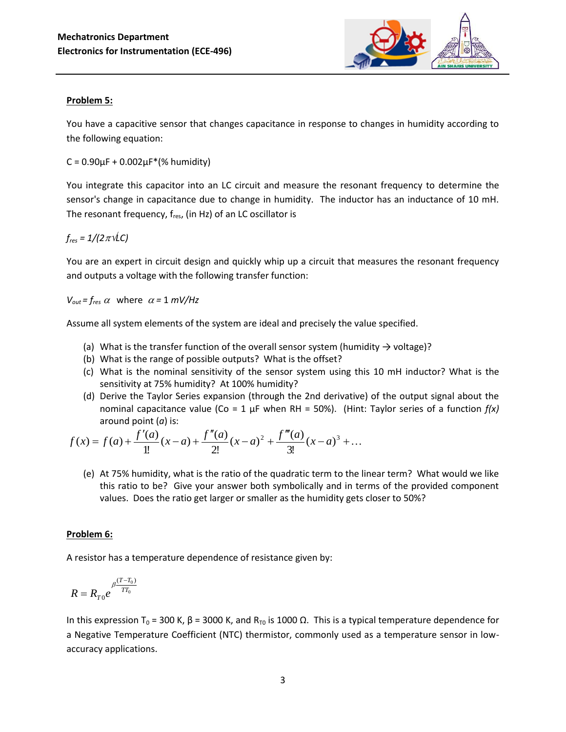

#### **Problem 5:**

You have a capacitive sensor that changes capacitance in response to changes in humidity according to the following equation:

 $C = 0.90 \mu F + 0.002 \mu F^*(%$  humidity)

You integrate this capacitor into an LC circuit and measure the resonant frequency to determine the sensor's change in capacitance due to change in humidity. The inductor has an inductance of 10 mH. The resonant frequency,  $f_{res}$ , (in Hz) of an LC oscillator is

 $f_{res} = 1/(2 \pi \sqrt{LC})$ 

You are an expert in circuit design and quickly whip up a circuit that measures the resonant frequency and outputs a voltage with the following transfer function:

 $V_{out} = f_{res} \alpha$  where  $\alpha = 1$  *mV/Hz* 

Assume all system elements of the system are ideal and precisely the value specified.

- (a) What is the transfer function of the overall sensor system (humidity  $\rightarrow$  voltage)?
- (b) What is the range of possible outputs? What is the offset?
- (c) What is the nominal sensitivity of the sensor system using this 10 mH inductor? What is the sensitivity at 75% humidity? At 100% humidity?
- (d) Derive the Taylor Series expansion (through the 2nd derivative) of the output signal about the nominal capacitance value (Co = 1  $\mu$ F when RH = 50%). (Hint: Taylor series of a function  $f(x)$ around point (*a*) is:

$$
f(x) = f(a) + \frac{f'(a)}{1!}(x-a) + \frac{f''(a)}{2!}(x-a)^2 + \frac{f'''(a)}{3!}(x-a)^3 + \dots
$$

(e) At 75% humidity, what is the ratio of the quadratic term to the linear term? What would we like this ratio to be? Give your answer both symbolically and in terms of the provided component values. Does the ratio get larger or smaller as the humidity gets closer to 50%?

### **Problem 6:**

A resistor has a temperature dependence of resistance given by:

$$
R = R_{T0} e^{\beta \frac{(T - T_0)}{T T_0}}
$$

In this expression T<sub>0</sub> = 300 K, β = 3000 K, and R<sub>T0</sub> is 1000 Ω. This is a typical temperature dependence for a Negative Temperature Coefficient (NTC) thermistor, commonly used as a temperature sensor in lowaccuracy applications.